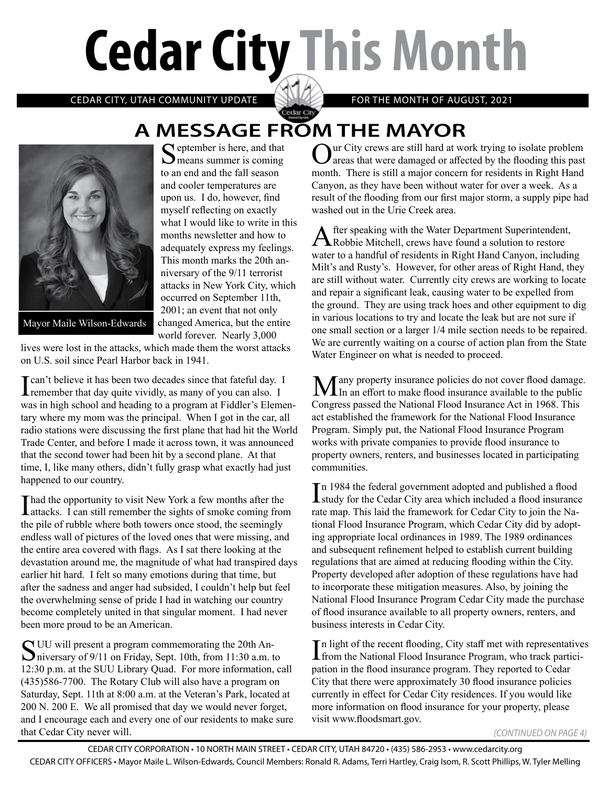# **Cedar City This Month**

CEDAR CITY, UTAH COMMUNITY UPDATE **FOR THE MONTH OF AUGUST, 2021** 

### Cedar City **A MESSAGE FROM THE MAYOR**



 $\bigcap$  eptember is here, and that  $\sum$  means summer is coming to an end and the fall season and cooler temperatures are upon us. I do, however, find myself reflecting on exactly what I would like to write in this months newsletter and how to adequately express my feelings. This month marks the 20th anniversary of the 9/11 terrorist attacks in New York City, which occurred on September 11th, 2001; an event that not only changed America, but the entire world forever. Nearly 3,000

Mayor Maile Wilson-Edwards

lives were lost in the attacks, which made them the worst attacks on U.S. soil since Pearl Harbor back in 1941.

**The UK I can't believe it has been two decades since that fateful day.** I remember that day quite vividly, as many of you can also. I was in high school and heading to a program at Fiddler's Elementary where my mom was the principal. When I got in the car, all radio stations were discussing the first plane that had hit the World Trade Center, and before I made it across town, it was announced that the second tower had been hit by a second plane. At that time, I, like many others, didn't fully grasp what exactly had just happened to our country.

I had the opportunity to visit New York a few months after the attacks. I can still remember the sights of smoke coming from the pile of rubble where both towers once stood, the seemingly endless wall of pictures of the loved ones that were missing, and the entire area covered with flags. As I sat there looking at the devastation around me, the magnitude of what had transpired days earlier hit hard. I felt so many emotions during that time, but after the sadness and anger had subsided, I couldn't help but feel the overwhelming sense of pride I had in watching our country become completely united in that singular moment. I had never been more proud to be an American.

SUU will present a program commemorating the 20th An-<br>miversary of 9/11 on Friday, Sept. 10th, from 11:30 a.m. to 12:30 p.m. at the SUU Library Quad. For more information, call (435)586-7700. The Rotary Club will also have a program on Saturday, Sept. 11th at 8:00 a.m. at the Veteran's Park, located at 200 N. 200 E. We all promised that day we would never forget, and I encourage each and every one of our residents to make sure that Cedar City never will.

ur City crews are still hard at work trying to isolate problem **J** areas that were damaged or affected by the flooding this past month. There is still a major concern for residents in Right Hand Canyon, as they have been without water for over a week. As a result of the flooding from our first major storm, a supply pipe had washed out in the Urie Creek area.

After speaking with the Water Department Superintendent, Robbie Mitchell, crews have found a solution to restore water to a handful of residents in Right Hand Canyon, including Milt's and Rusty's. However, for other areas of Right Hand, they are still without water. Currently city crews are working to locate and repair a significant leak, causing water to be expelled from the ground. They are using track hoes and other equipment to dig in various locations to try and locate the leak but are not sure if one small section or a larger 1/4 mile section needs to be repaired. We are currently waiting on a course of action plan from the State Water Engineer on what is needed to proceed.

**Many** property insurance policies do not cover flood damage.<br>
In an effort to make flood insurance available to the public Congress passed the National Flood Insurance Act in 1968. This act established the framework for the National Flood Insurance Program. Simply put, the National Flood Insurance Program works with private companies to provide flood insurance to property owners, renters, and businesses located in participating communities.

In 1984 the federal government adopted and published a flood<br>Istudy for the Cedar City area which included a flood insurance study for the Cedar City area which included a flood insurance rate map. This laid the framework for Cedar City to join the National Flood Insurance Program, which Cedar City did by adopting appropriate local ordinances in 1989. The 1989 ordinances and subsequent refinement helped to establish current building regulations that are aimed at reducing flooding within the City. Property developed after adoption of these regulations have had to incorporate these mitigation measures. Also, by joining the National Flood Insurance Program Cedar City made the purchase of flood insurance available to all property owners, renters, and business interests in Cedar City.

In light of the recent flooding, City staff met with representatives<br>from the National Flood Insurance Program, who track particifrom the National Flood Insurance Program, who track participation in the flood insurance program. They reported to Cedar City that there were approximately 30 flood insurance policies currently in effect for Cedar City residences. If you would like more information on flood insurance for your property, please visit www.floodsmart.gov.

*(CONTINUED ON PAGE 4)*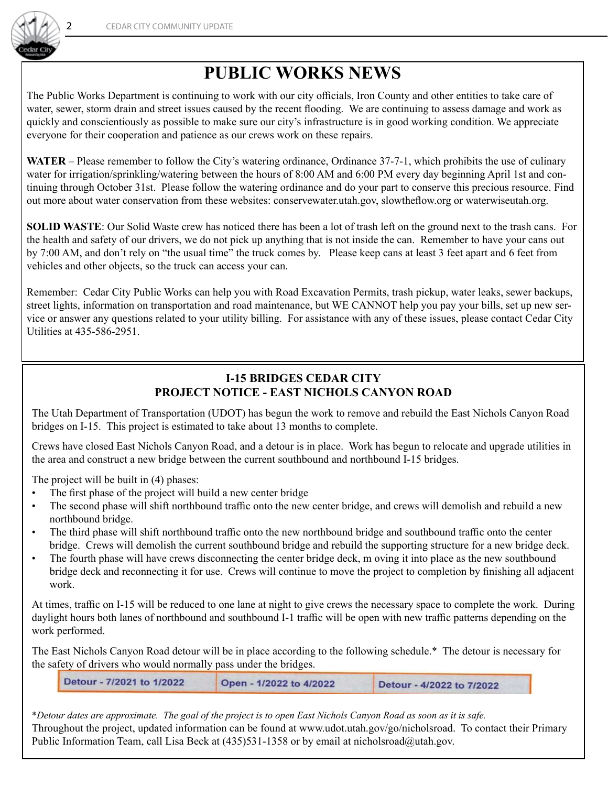

## **PUBLIC WORKS NEWS**

The Public Works Department is continuing to work with our city officials, Iron County and other entities to take care of water, sewer, storm drain and street issues caused by the recent flooding. We are continuing to assess damage and work as quickly and conscientiously as possible to make sure our city's infrastructure is in good working condition. We appreciate everyone for their cooperation and patience as our crews work on these repairs.

**WATER** – Please remember to follow the City's watering ordinance, Ordinance 37-7-1, which prohibits the use of culinary water for irrigation/sprinkling/watering between the hours of 8:00 AM and 6:00 PM every day beginning April 1st and continuing through October 31st. Please follow the watering ordinance and do your part to conserve this precious resource. Find out more about water conservation from these websites: conservewater.utah.gov, slowtheflow.org or waterwiseutah.org.

**SOLID WASTE**: Our Solid Waste crew has noticed there has been a lot of trash left on the ground next to the trash cans. For the health and safety of our drivers, we do not pick up anything that is not inside the can. Remember to have your cans out by 7:00 AM, and don't rely on "the usual time" the truck comes by. Please keep cans at least 3 feet apart and 6 feet from vehicles and other objects, so the truck can access your can.

Remember: Cedar City Public Works can help you with Road Excavation Permits, trash pickup, water leaks, sewer backups, street lights, information on transportation and road maintenance, but WE CANNOT help you pay your bills, set up new service or answer any questions related to your utility billing. For assistance with any of these issues, please contact Cedar City Utilities at 435-586-2951.

#### **I-15 BRIDGES CEDAR CITY PROJECT NOTICE - EAST NICHOLS CANYON ROAD**

The Utah Department of Transportation (UDOT) has begun the work to remove and rebuild the East Nichols Canyon Road bridges on I-15. This project is estimated to take about 13 months to complete.

Crews have closed East Nichols Canyon Road, and a detour is in place. Work has begun to relocate and upgrade utilities in the area and construct a new bridge between the current southbound and northbound I-15 bridges.

The project will be built in (4) phases:

- The first phase of the project will build a new center bridge
- The second phase will shift northbound traffic onto the new center bridge, and crews will demolish and rebuild a new northbound bridge.
- The third phase will shift northbound traffic onto the new northbound bridge and southbound traffic onto the center bridge. Crews will demolish the current southbound bridge and rebuild the supporting structure for a new bridge deck.
- The fourth phase will have crews disconnecting the center bridge deck, m oving it into place as the new southbound bridge deck and reconnecting it for use. Crews will continue to move the project to completion by finishing all adjacent work.

At times, traffic on I-15 will be reduced to one lane at night to give crews the necessary space to complete the work. During daylight hours both lanes of northbound and southbound I-1 traffic will be open with new traffic patterns depending on the work performed.

The East Nichols Canyon Road detour will be in place according to the following schedule.\* The detour is necessary for the safety of drivers who would normally pass under the bridges.

| Detour - 7/2021 to 1/2022 | Open - 1/2022 to 4/2022 | Detour - 4/2022 to 7/2022 |  |
|---------------------------|-------------------------|---------------------------|--|
|---------------------------|-------------------------|---------------------------|--|

\**Detour dates are approximate. The goal of the project is to open East Nichols Canyon Road as soon as it is safe.* Throughout the project, updated information can be found at www.udot.utah.gov/go/nicholsroad. To contact their Primary Public Information Team, call Lisa Beck at (435)531-1358 or by email at nicholsroad@utah.gov.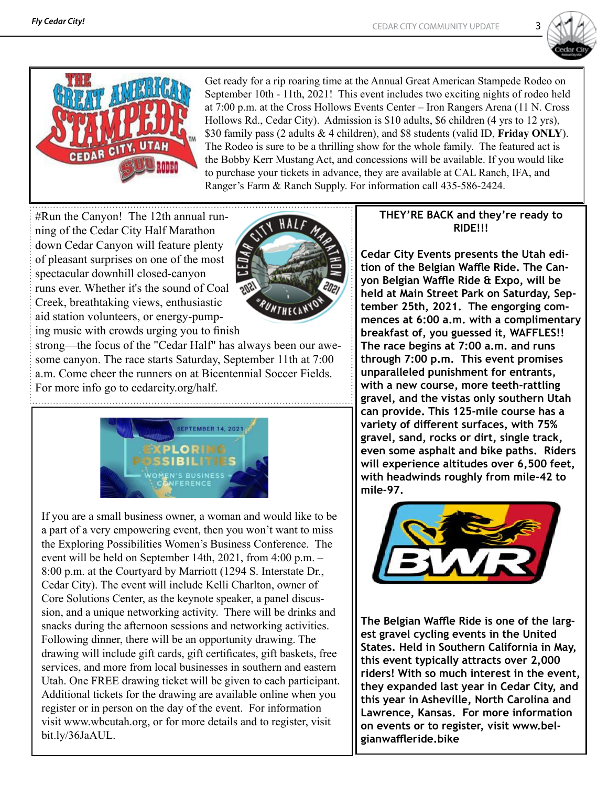



Get ready for a rip roaring time at the Annual Great American Stampede Rodeo on September 10th - 11th, 2021! This event includes two exciting nights of rodeo held at 7:00 p.m. at the Cross Hollows Events Center – Iron Rangers Arena (11 N. Cross Hollows Rd., Cedar City). Admission is \$10 adults, \$6 children (4 yrs to 12 yrs), \$30 family pass (2 adults & 4 children), and \$8 students (valid ID, **Friday ONLY**). The Rodeo is sure to be a thrilling show for the whole family. The featured act is the Bobby Kerr Mustang Act, and concessions will be available. If you would like to purchase your tickets in advance, they are available at CAL Ranch, IFA, and Ranger's Farm & Ranch Supply. For information call 435-586-2424.

#Run the Canyon! The 12th annual running of the Cedar City Half Marathon down Cedar Canyon will feature plenty of pleasant surprises on one of the most spectacular downhill closed-canyon runs ever. Whether it's the sound of Coal Creek, breathtaking views, enthusiastic aid station volunteers, or energy-pumping music with crowds urging you to finish



strong—the focus of the "Cedar Half" has always been our awesome canyon. The race starts Saturday, September 11th at 7:00 a.m. Come cheer the runners on at Bicentennial Soccer Fields. For more info go to cedarcity.org/half.



If you are a small business owner, a woman and would like to be a part of a very empowering event, then you won't want to miss the Exploring Possibilities Women's Business Conference. The event will be held on September 14th, 2021, from 4:00 p.m. – 8:00 p.m. at the Courtyard by Marriott (1294 S. Interstate Dr., Cedar City). The event will include Kelli Charlton, owner of Core Solutions Center, as the keynote speaker, a panel discussion, and a unique networking activity. There will be drinks and snacks during the afternoon sessions and networking activities. Following dinner, there will be an opportunity drawing. The drawing will include gift cards, gift certificates, gift baskets, free services, and more from local businesses in southern and eastern Utah. One FREE drawing ticket will be given to each participant. Additional tickets for the drawing are available online when you register or in person on the day of the event. For information visit www.wbcutah.org, or for more details and to register, visit bit.ly/36JaAUL.

#### **THEY'RE BACK and they're ready to RIDE!!!**

**Cedar City Events presents the Utah edition of the Belgian Waffle Ride. The Canyon Belgian Waffle Ride & Expo, will be held at Main Street Park on Saturday, September 25th, 2021. The engorging commences at 6:00 a.m. with a complimentary breakfast of, you guessed it, WAFFLES!! The race begins at 7:00 a.m. and runs through 7:00 p.m. This event promises unparalleled punishment for entrants, with a new course, more teeth-rattling gravel, and the vistas only southern Utah can provide. This 125-mile course has a variety of different surfaces, with 75% gravel, sand, rocks or dirt, single track, even some asphalt and bike paths. Riders will experience altitudes over 6,500 feet, with headwinds roughly from mile-42 to mile-97.** 



**The Belgian Waffle Ride is one of the largest gravel cycling events in the United States. Held in Southern California in May, this event typically attracts over 2,000 riders! With so much interest in the event, they expanded last year in Cedar City, and this year in Asheville, North Carolina and Lawrence, Kansas. For more information on events or to register, visit www.belgianwaffleride.bike**